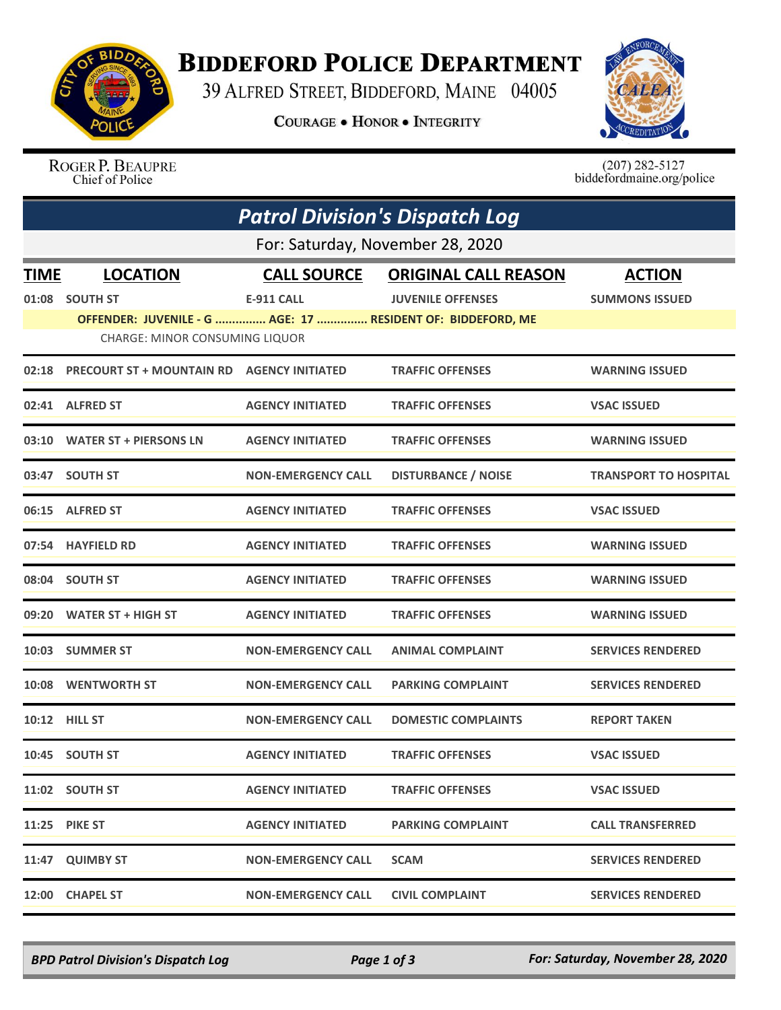

## **BIDDEFORD POLICE DEPARTMENT**

39 ALFRED STREET, BIDDEFORD, MAINE 04005

**COURAGE . HONOR . INTEGRITY** 



ROGER P. BEAUPRE Chief of Police

 $(207)$  282-5127<br>biddefordmaine.org/police

|                                  | <b>Patrol Division's Dispatch Log</b>                       |                           |                             |                              |  |  |  |
|----------------------------------|-------------------------------------------------------------|---------------------------|-----------------------------|------------------------------|--|--|--|
| For: Saturday, November 28, 2020 |                                                             |                           |                             |                              |  |  |  |
| <b>TIME</b>                      | <b>LOCATION</b>                                             | <b>CALL SOURCE</b>        | <b>ORIGINAL CALL REASON</b> | <b>ACTION</b>                |  |  |  |
| 01:08                            | <b>SOUTH ST</b>                                             | <b>E-911 CALL</b>         | <b>JUVENILE OFFENSES</b>    | <b>SUMMONS ISSUED</b>        |  |  |  |
|                                  | OFFENDER: JUVENILE - G  AGE: 17  RESIDENT OF: BIDDEFORD, ME |                           |                             |                              |  |  |  |
|                                  | CHARGE: MINOR CONSUMING LIQUOR                              |                           |                             |                              |  |  |  |
| 02:18                            | <b>PRECOURT ST + MOUNTAIN RD AGENCY INITIATED</b>           |                           | <b>TRAFFIC OFFENSES</b>     | <b>WARNING ISSUED</b>        |  |  |  |
|                                  | 02:41 ALFRED ST                                             | <b>AGENCY INITIATED</b>   | <b>TRAFFIC OFFENSES</b>     | <b>VSAC ISSUED</b>           |  |  |  |
|                                  | 03:10 WATER ST + PIERSONS LN                                | <b>AGENCY INITIATED</b>   | <b>TRAFFIC OFFENSES</b>     | <b>WARNING ISSUED</b>        |  |  |  |
| 03:47                            | <b>SOUTH ST</b>                                             | <b>NON-EMERGENCY CALL</b> | <b>DISTURBANCE / NOISE</b>  | <b>TRANSPORT TO HOSPITAL</b> |  |  |  |
|                                  | 06:15 ALFRED ST                                             | <b>AGENCY INITIATED</b>   | <b>TRAFFIC OFFENSES</b>     | <b>VSAC ISSUED</b>           |  |  |  |
|                                  | 07:54 HAYFIELD RD                                           | <b>AGENCY INITIATED</b>   | <b>TRAFFIC OFFENSES</b>     | <b>WARNING ISSUED</b>        |  |  |  |
|                                  | 08:04 SOUTH ST                                              | <b>AGENCY INITIATED</b>   | <b>TRAFFIC OFFENSES</b>     | <b>WARNING ISSUED</b>        |  |  |  |
| 09:20                            | <b>WATER ST + HIGH ST</b>                                   | <b>AGENCY INITIATED</b>   | <b>TRAFFIC OFFENSES</b>     | <b>WARNING ISSUED</b>        |  |  |  |
|                                  | 10:03 SUMMER ST                                             | <b>NON-EMERGENCY CALL</b> | <b>ANIMAL COMPLAINT</b>     | <b>SERVICES RENDERED</b>     |  |  |  |
|                                  | 10:08 WENTWORTH ST                                          | <b>NON-EMERGENCY CALL</b> | <b>PARKING COMPLAINT</b>    | <b>SERVICES RENDERED</b>     |  |  |  |
| 10:12                            | <b>HILL ST</b>                                              | <b>NON-EMERGENCY CALL</b> | <b>DOMESTIC COMPLAINTS</b>  | <b>REPORT TAKEN</b>          |  |  |  |
|                                  | 10:45 SOUTH ST                                              | <b>AGENCY INITIATED</b>   | <b>TRAFFIC OFFENSES</b>     | <b>VSAC ISSUED</b>           |  |  |  |
|                                  | 11:02 SOUTH ST                                              | <b>AGENCY INITIATED</b>   | <b>TRAFFIC OFFENSES</b>     | <b>VSAC ISSUED</b>           |  |  |  |
|                                  | <b>11:25 PIKE ST</b>                                        | <b>AGENCY INITIATED</b>   | <b>PARKING COMPLAINT</b>    | <b>CALL TRANSFERRED</b>      |  |  |  |
|                                  | 11:47 QUIMBY ST                                             | <b>NON-EMERGENCY CALL</b> | <b>SCAM</b>                 | <b>SERVICES RENDERED</b>     |  |  |  |
|                                  | 12:00 CHAPEL ST                                             | <b>NON-EMERGENCY CALL</b> | <b>CIVIL COMPLAINT</b>      | <b>SERVICES RENDERED</b>     |  |  |  |

*BPD Patrol Division's Dispatch Log Page 1 of 3 For: Saturday, November 28, 2020*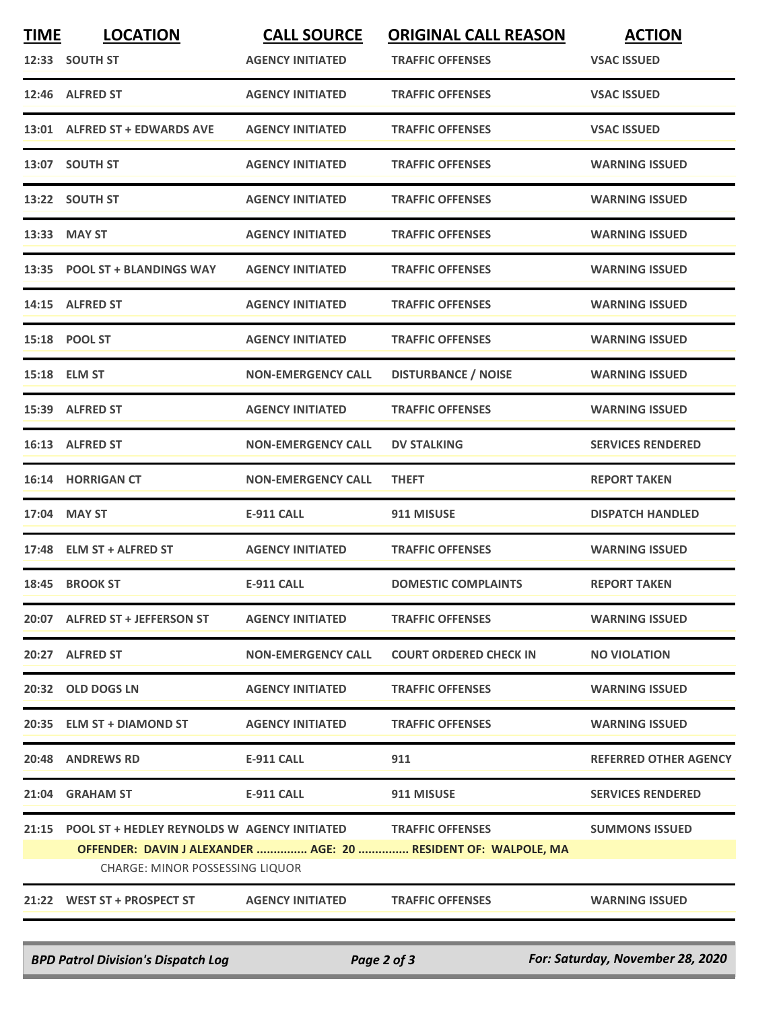| <b>TIME</b> | <b>LOCATION</b>                                    | <b>CALL SOURCE</b>        | <b>ORIGINAL CALL REASON</b>                                    | <b>ACTION</b>                |
|-------------|----------------------------------------------------|---------------------------|----------------------------------------------------------------|------------------------------|
|             | 12:33 SOUTH ST                                     | <b>AGENCY INITIATED</b>   | <b>TRAFFIC OFFENSES</b>                                        | <b>VSAC ISSUED</b>           |
|             | 12:46 ALFRED ST                                    | <b>AGENCY INITIATED</b>   | <b>TRAFFIC OFFENSES</b>                                        | <b>VSAC ISSUED</b>           |
|             | 13:01 ALFRED ST + EDWARDS AVE                      | <b>AGENCY INITIATED</b>   | <b>TRAFFIC OFFENSES</b>                                        | <b>VSAC ISSUED</b>           |
|             | 13:07 SOUTH ST                                     | <b>AGENCY INITIATED</b>   | <b>TRAFFIC OFFENSES</b>                                        | <b>WARNING ISSUED</b>        |
|             | 13:22 SOUTH ST                                     | <b>AGENCY INITIATED</b>   | <b>TRAFFIC OFFENSES</b>                                        | <b>WARNING ISSUED</b>        |
|             | 13:33 MAY ST                                       | <b>AGENCY INITIATED</b>   | <b>TRAFFIC OFFENSES</b>                                        | <b>WARNING ISSUED</b>        |
|             | 13:35 POOL ST + BLANDINGS WAY                      | <b>AGENCY INITIATED</b>   | <b>TRAFFIC OFFENSES</b>                                        | <b>WARNING ISSUED</b>        |
|             | 14:15 ALFRED ST                                    | <b>AGENCY INITIATED</b>   | <b>TRAFFIC OFFENSES</b>                                        | <b>WARNING ISSUED</b>        |
|             | 15:18 POOL ST                                      | <b>AGENCY INITIATED</b>   | <b>TRAFFIC OFFENSES</b>                                        | <b>WARNING ISSUED</b>        |
|             | 15:18 ELM ST                                       | <b>NON-EMERGENCY CALL</b> | <b>DISTURBANCE / NOISE</b>                                     | <b>WARNING ISSUED</b>        |
|             | 15:39 ALFRED ST                                    | <b>AGENCY INITIATED</b>   | <b>TRAFFIC OFFENSES</b>                                        | <b>WARNING ISSUED</b>        |
|             | 16:13 ALFRED ST                                    | <b>NON-EMERGENCY CALL</b> | <b>DV STALKING</b>                                             | <b>SERVICES RENDERED</b>     |
|             | <b>16:14 HORRIGAN CT</b>                           | <b>NON-EMERGENCY CALL</b> | <b>THEFT</b>                                                   | <b>REPORT TAKEN</b>          |
| 17:04       | <b>MAY ST</b>                                      | <b>E-911 CALL</b>         | 911 MISUSE                                                     | <b>DISPATCH HANDLED</b>      |
|             | 17:48 ELM ST + ALFRED ST                           | <b>AGENCY INITIATED</b>   | <b>TRAFFIC OFFENSES</b>                                        | <b>WARNING ISSUED</b>        |
|             | 18:45 BROOK ST                                     | <b>E-911 CALL</b>         | <b>DOMESTIC COMPLAINTS</b>                                     | <b>REPORT TAKEN</b>          |
|             | 20:07 ALFRED ST + JEFFERSON ST                     | <b>AGENCY INITIATED</b>   | <b>TRAFFIC OFFENSES</b>                                        | <b>WARNING ISSUED</b>        |
|             | 20:27 ALFRED ST                                    | <b>NON-EMERGENCY CALL</b> | <b>COURT ORDERED CHECK IN</b>                                  | <b>NO VIOLATION</b>          |
|             | 20:32 OLD DOGS LN                                  | <b>AGENCY INITIATED</b>   | <b>TRAFFIC OFFENSES</b>                                        | <b>WARNING ISSUED</b>        |
|             | 20:35 ELM ST + DIAMOND ST                          | <b>AGENCY INITIATED</b>   | <b>TRAFFIC OFFENSES</b>                                        | <b>WARNING ISSUED</b>        |
|             | 20:48 ANDREWS RD                                   | <b>E-911 CALL</b>         | 911                                                            | <b>REFERRED OTHER AGENCY</b> |
|             | 21:04 GRAHAM ST                                    | E-911 CALL                | 911 MISUSE                                                     | <b>SERVICES RENDERED</b>     |
|             | 21:15 POOL ST + HEDLEY REYNOLDS W AGENCY INITIATED |                           | <b>TRAFFIC OFFENSES</b>                                        | <b>SUMMONS ISSUED</b>        |
|             |                                                    |                           | OFFENDER: DAVIN J ALEXANDER  AGE: 20  RESIDENT OF: WALPOLE, MA |                              |
|             | <b>CHARGE: MINOR POSSESSING LIQUOR</b>             |                           |                                                                |                              |
|             | 21:22 WEST ST + PROSPECT ST                        | <b>AGENCY INITIATED</b>   | <b>TRAFFIC OFFENSES</b>                                        | <b>WARNING ISSUED</b>        |

*BPD Patrol Division's Dispatch Log Page 2 of 3 For: Saturday, November 28, 2020*